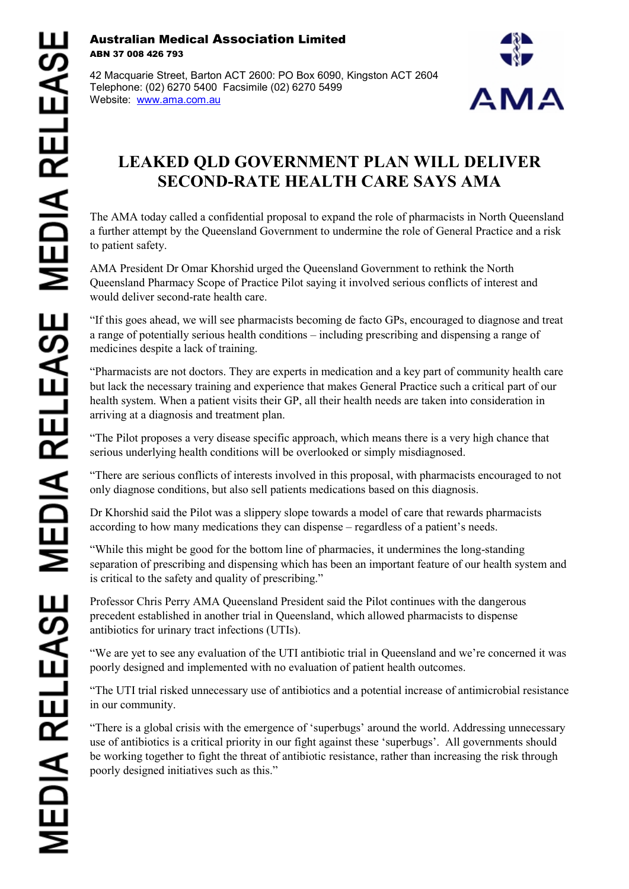## Australian Medical Association Limited ABN 37 008 426 793

42 Macquarie Street, Barton ACT 2600: PO Box 6090, Kingston ACT 2604 Telephone: (02) 6270 5400 Facsimile (02) 6270 5499 Website: [www.ama.com.au](http://www.ama.com.au/)



## **LEAKED QLD GOVERNMENT PLAN WILL DELIVER SECOND-RATE HEALTH CARE SAYS AMA**

The AMA today called a confidential proposal to expand the role of pharmacists in North Queensland a further attempt by the Queensland Government to undermine the role of General Practice and a risk to patient safety.

AMA President Dr Omar Khorshid urged the Queensland Government to rethink the North Queensland Pharmacy Scope of Practice Pilot saying it involved serious conflicts of interest and would deliver second-rate health care.

"If this goes ahead, we will see pharmacists becoming de facto GPs, encouraged to diagnose and treat a range of potentially serious health conditions – including prescribing and dispensing a range of medicines despite a lack of training.

"Pharmacists are not doctors. They are experts in medication and a key part of community health care but lack the necessary training and experience that makes General Practice such a critical part of our health system. When a patient visits their GP, all their health needs are taken into consideration in arriving at a diagnosis and treatment plan.

"The Pilot proposes a very disease specific approach, which means there is a very high chance that serious underlying health conditions will be overlooked or simply misdiagnosed.

"There are serious conflicts of interests involved in this proposal, with pharmacists encouraged to not only diagnose conditions, but also sell patients medications based on this diagnosis.

Dr Khorshid said the Pilot was a slippery slope towards a model of care that rewards pharmacists according to how many medications they can dispense – regardless of a patient's needs.

"While this might be good for the bottom line of pharmacies, it undermines the long-standing separation of prescribing and dispensing which has been an important feature of our health system and is critical to the safety and quality of prescribing."

Professor Chris Perry AMA Queensland President said the Pilot continues with the dangerous precedent established in another trial in Queensland, which allowed pharmacists to dispense antibiotics for urinary tract infections (UTIs).

"We are yet to see any evaluation of the UTI antibiotic trial in Queensland and we're concerned it was poorly designed and implemented with no evaluation of patient health outcomes.

"The UTI trial risked unnecessary use of antibiotics and a potential increase of antimicrobial resistance in our community.

"There is a global crisis with the emergence of 'superbugs' around the world. Addressing unnecessary use of antibiotics is a critical priority in our fight against these 'superbugs'. All governments should be working together to fight the threat of antibiotic resistance, rather than increasing the risk through poorly designed initiatives such as this."